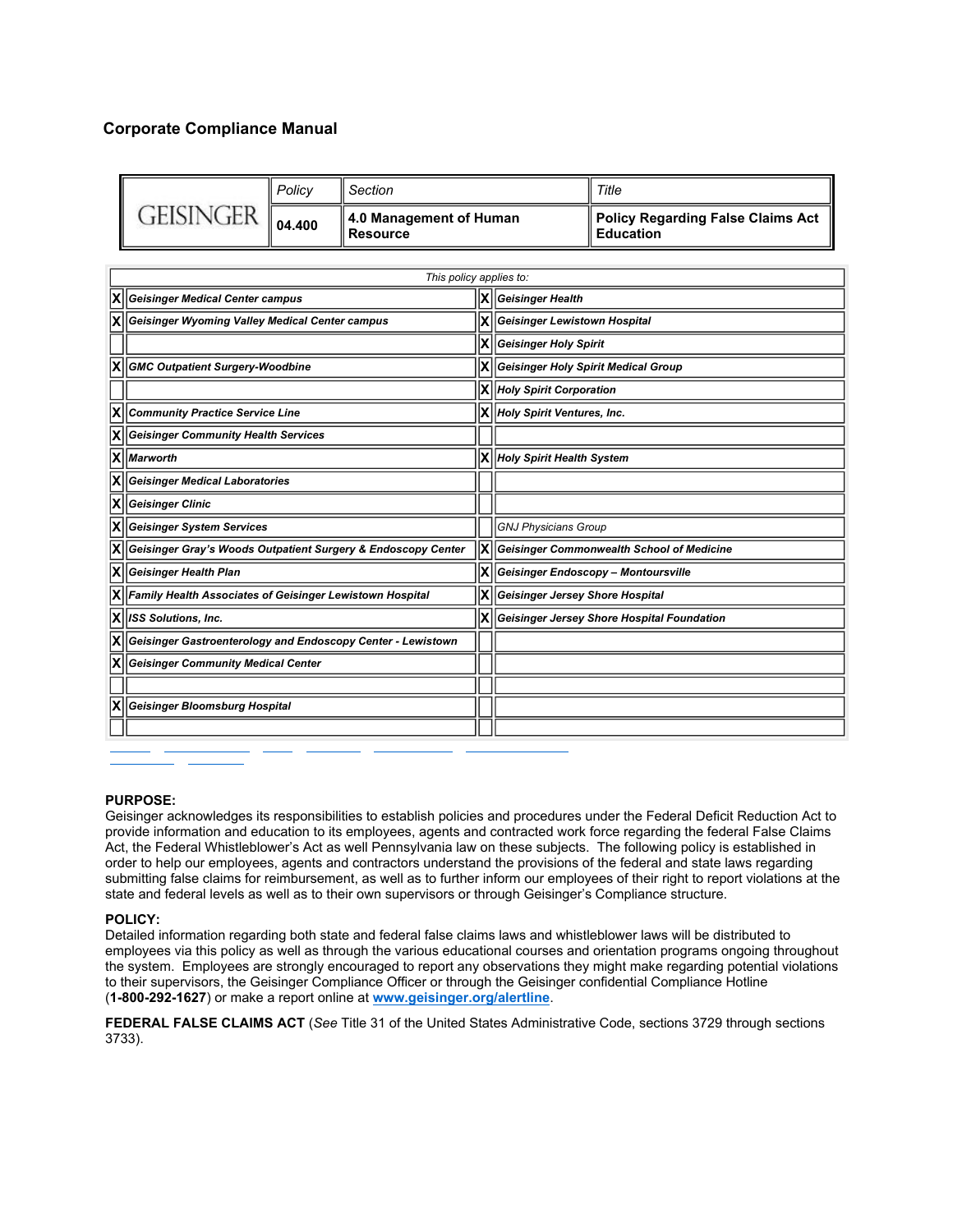# **Corporate Compliance Manual**

|                  | Policy | Il Section                                 | Title                                             |
|------------------|--------|--------------------------------------------|---------------------------------------------------|
| <b>GEISINGER</b> | 04.400 | 4.0 Management of Human<br><b>Resource</b> | Policy Regarding False Claims Act<br>ll Education |

| This policy applies to:                                                     |      |                                                                         |  |  |  |  |
|-----------------------------------------------------------------------------|------|-------------------------------------------------------------------------|--|--|--|--|
| X Geisinger Medical Center campus<br>ΙX                                     |      | Geisinger Health                                                        |  |  |  |  |
| <b>X</b>   Geisinger Wyoming Valley Medical Center campus                   |      | <b>Geisinger Lewistown Hospital</b>                                     |  |  |  |  |
|                                                                             |      | $ X  $ Geisinger Holy Spirit                                            |  |  |  |  |
| <b>X</b> GMC Outpatient Surgery-Woodbine                                    |      | $\vert \bm{\mathsf{X}} \vert \vert$ Geisinger Holy Spirit Medical Group |  |  |  |  |
|                                                                             |      | <b>X</b>   Holy Spirit Corporation                                      |  |  |  |  |
| <b>X</b>   Community Practice Service Line                                  |      | X Holy Spirit Ventures, Inc.                                            |  |  |  |  |
| <b>X</b> Geisinger Community Health Services                                |      |                                                                         |  |  |  |  |
| $ X $ <i>Marworth</i>                                                       |      | <b>X</b> Holy Spirit Health System                                      |  |  |  |  |
| <b>X</b> Geisinger Medical Laboratories                                     |      |                                                                         |  |  |  |  |
| $ \mathsf{X} $ Geisinger Clinic                                             |      |                                                                         |  |  |  |  |
| <b>X</b>   Geisinger System Services                                        |      | <b>GNJ Physicians Group</b>                                             |  |  |  |  |
| X  Geisinger Gray's Woods Outpatient Surgery & Endoscopy Center             | lx∥  | <b>Geisinger Commonwealth School of Medicine</b>                        |  |  |  |  |
| <b>X</b>   Geisinger Health Plan                                            | ΙXΙ  | Geisinger Endoscopy - Montoursville                                     |  |  |  |  |
| X Family Health Associates of Geisinger Lewistown Hospital                  | lxll | <b>Geisinger Jersey Shore Hospital</b>                                  |  |  |  |  |
| $ X $ ISS Solutions, Inc.                                                   |      | lxll<br>Geisinger Jersey Shore Hospital Foundation                      |  |  |  |  |
| $ \mathsf{X}  $ Geisinger Gastroenterology and Endoscopy Center - Lewistown |      |                                                                         |  |  |  |  |
| <b>X</b>   Geisinger Community Medical Center                               |      |                                                                         |  |  |  |  |
|                                                                             |      |                                                                         |  |  |  |  |
| X Geisinger Bloomsburg Hospital                                             |      |                                                                         |  |  |  |  |
|                                                                             |      |                                                                         |  |  |  |  |

## **PURPOSE:**

Geisinger acknowledges its responsibilities to establish policies and procedures under the Federal Deficit Reduction Act to provide information and education to its employees, agents and contracted work force regarding the federal False Claims Act, the Federal Whistleblower's Act as well Pennsylvania law on these subjects. The following policy is established in order to help our employees, agents and contractors understand the provisions of the federal and state laws regarding submitting false claims for reimbursement, as well as to further inform our employees of their right to report violations at the state and federal levels as well as to their own supervisors or through Geisinger's Compliance structure.

#### **POLICY:**

Detailed information regarding both state and federal false claims laws and whistleblower laws will be distributed to employees via this policy as well as through the various educational courses and orientation programs ongoing throughout the system. Employees are strongly encouraged to report any observations they might make regarding potential violations to their supervisors, the Geisinger Compliance Officer or through the Geisinger confidential Compliance Hotline (**1-800-292-1627**) or make a report online at **www.geisinger.org/alertline**.

**FEDERAL FALSE CLAIMS ACT** (*See* Title 31 of the United States Administrative Code, sections 3729 through sections 3733).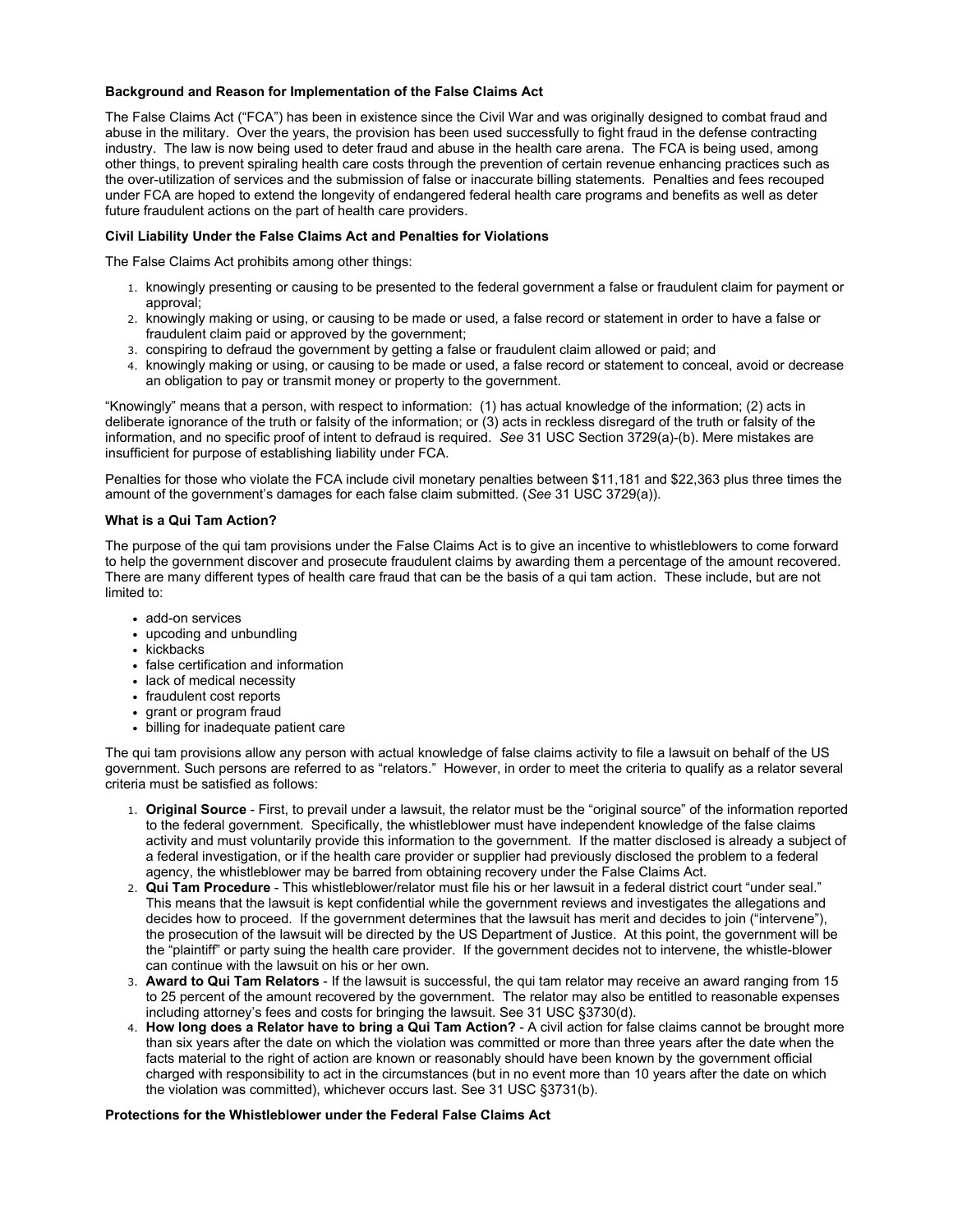## **Background and Reason for Implementation of the False Claims Act**

The False Claims Act ("FCA") has been in existence since the Civil War and was originally designed to combat fraud and abuse in the military. Over the years, the provision has been used successfully to fight fraud in the defense contracting industry. The law is now being used to deter fraud and abuse in the health care arena. The FCA is being used, among other things, to prevent spiraling health care costs through the prevention of certain revenue enhancing practices such as the over-utilization of services and the submission of false or inaccurate billing statements. Penalties and fees recouped under FCA are hoped to extend the longevity of endangered federal health care programs and benefits as well as deter future fraudulent actions on the part of health care providers.

## **Civil Liability Under the False Claims Act and Penalties for Violations**

The False Claims Act prohibits among other things:

- 1. knowingly presenting or causing to be presented to the federal government a false or fraudulent claim for payment or approval;
- 2. knowingly making or using, or causing to be made or used, a false record or statement in order to have a false or fraudulent claim paid or approved by the government;
- 3. conspiring to defraud the government by getting a false or fraudulent claim allowed or paid; and
- 4. knowingly making or using, or causing to be made or used, a false record or statement to conceal, avoid or decrease an obligation to pay or transmit money or property to the government.

"Knowingly" means that a person, with respect to information: (1) has actual knowledge of the information; (2) acts in deliberate ignorance of the truth or falsity of the information; or (3) acts in reckless disregard of the truth or falsity of the information, and no specific proof of intent to defraud is required. *See* 31 USC Section 3729(a)-(b). Mere mistakes are insufficient for purpose of establishing liability under FCA.

Penalties for those who violate the FCA include civil monetary penalties between \$11,181 and \$22,363 plus three times the amount of the government's damages for each false claim submitted. (*See* 31 USC 3729(a)).

#### **What is a Qui Tam Action?**

The purpose of the qui tam provisions under the False Claims Act is to give an incentive to whistleblowers to come forward to help the government discover and prosecute fraudulent claims by awarding them a percentage of the amount recovered. There are many different types of health care fraud that can be the basis of a qui tam action. These include, but are not limited to:

- add-on services
- upcoding and unbundling
- kickbacks
- false certification and information
- lack of medical necessity
- fraudulent cost reports
- grant or program fraud
- billing for inadequate patient care

The qui tam provisions allow any person with actual knowledge of false claims activity to file a lawsuit on behalf of the US government. Such persons are referred to as "relators." However, in order to meet the criteria to qualify as a relator several criteria must be satisfied as follows:

- 1. **Original Source** First, to prevail under a lawsuit, the relator must be the "original source" of the information reported to the federal government. Specifically, the whistleblower must have independent knowledge of the false claims activity and must voluntarily provide this information to the government. If the matter disclosed is already a subject of a federal investigation, or if the health care provider or supplier had previously disclosed the problem to a federal agency, the whistleblower may be barred from obtaining recovery under the False Claims Act.
- 2. **Qui Tam Procedure** This whistleblower/relator must file his or her lawsuit in a federal district court "under seal." This means that the lawsuit is kept confidential while the government reviews and investigates the allegations and decides how to proceed. If the government determines that the lawsuit has merit and decides to join ("intervene"), the prosecution of the lawsuit will be directed by the US Department of Justice. At this point, the government will be the "plaintiff" or party suing the health care provider. If the government decides not to intervene, the whistle-blower can continue with the lawsuit on his or her own.
- 3. **Award to Qui Tam Relators** If the lawsuit is successful, the qui tam relator may receive an award ranging from 15 to 25 percent of the amount recovered by the government. The relator may also be entitled to reasonable expenses including attorney's fees and costs for bringing the lawsuit. See 31 USC §3730(d).
- 4. **How long does a Relator have to bring a Qui Tam Action?** A civil action for false claims cannot be brought more than six years after the date on which the violation was committed or more than three years after the date when the facts material to the right of action are known or reasonably should have been known by the government official charged with responsibility to act in the circumstances (but in no event more than 10 years after the date on which the violation was committed), whichever occurs last. See 31 USC §3731(b).

#### **Protections for the Whistleblower under the Federal False Claims Act**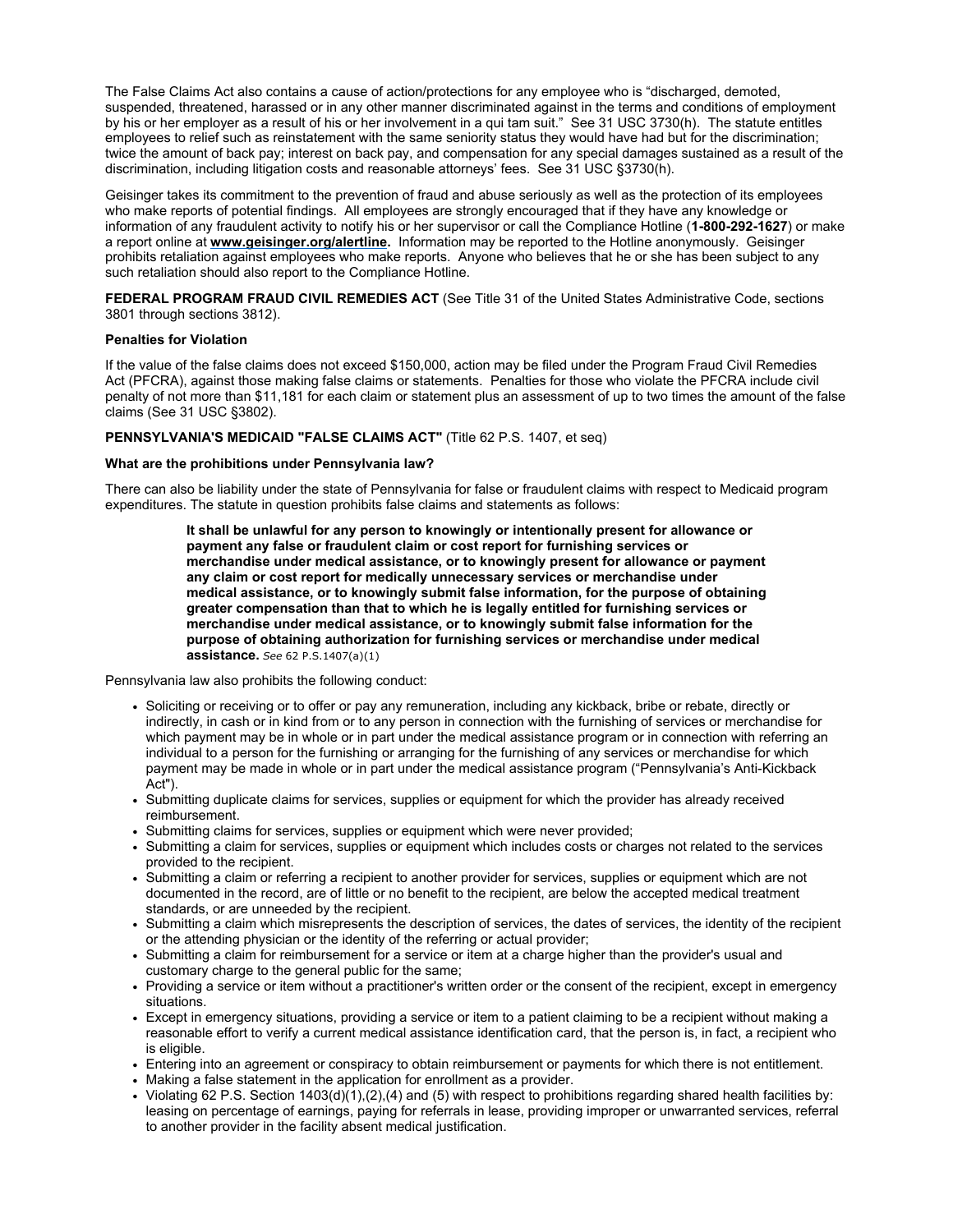The False Claims Act also contains a cause of action/protections for any employee who is "discharged, demoted, suspended, threatened, harassed or in any other manner discriminated against in the terms and conditions of employment by his or her employer as a result of his or her involvement in a qui tam suit." See 31 USC 3730(h). The statute entitles employees to relief such as reinstatement with the same seniority status they would have had but for the discrimination; twice the amount of back pay; interest on back pay, and compensation for any special damages sustained as a result of the discrimination, including litigation costs and reasonable attorneys' fees. See 31 USC §3730(h).

Geisinger takes its commitment to the prevention of fraud and abuse seriously as well as the protection of its employees who make reports of potential findings. All employees are strongly encouraged that if they have any knowledge or information of any fraudulent activity to notify his or her supervisor or call the Compliance Hotline (**1-800-292-1627**) or make a report online at **www.geisinger.org/alertline.** Information may be reported to the Hotline anonymously. Geisinger prohibits retaliation against employees who make reports. Anyone who believes that he or she has been subject to any such retaliation should also report to the Compliance Hotline.

**FEDERAL PROGRAM FRAUD CIVIL REMEDIES ACT** (See Title 31 of the United States Administrative Code, sections 3801 through sections 3812).

## **Penalties for Violation**

If the value of the false claims does not exceed \$150,000, action may be filed under the Program Fraud Civil Remedies Act (PFCRA), against those making false claims or statements. Penalties for those who violate the PFCRA include civil penalty of not more than \$11,181 for each claim or statement plus an assessment of up to two times the amount of the false claims (See 31 USC §3802).

## **PENNSYLVANIA'S MEDICAID "FALSE CLAIMS ACT"** (Title 62 P.S. 1407, et seq)

#### **What are the prohibitions under Pennsylvania law?**

There can also be liability under the state of Pennsylvania for false or fraudulent claims with respect to Medicaid program expenditures. The statute in question prohibits false claims and statements as follows:

> **It shall be unlawful for any person to knowingly or intentionally present for allowance or payment any false or fraudulent claim or cost report for furnishing services or merchandise under medical assistance, or to knowingly present for allowance or payment any claim or cost report for medically unnecessary services or merchandise under medical assistance, or to knowingly submit false information, for the purpose of obtaining greater compensation than that to which he is legally entitled for furnishing services or merchandise under medical assistance, or to knowingly submit false information for the purpose of obtaining authorization for furnishing services or merchandise under medical assistance.** *See* 62 P.S.1407(a)(1)

Pennsylvania law also prohibits the following conduct:

- Soliciting or receiving or to offer or pay any remuneration, including any kickback, bribe or rebate, directly or indirectly, in cash or in kind from or to any person in connection with the furnishing of services or merchandise for which payment may be in whole or in part under the medical assistance program or in connection with referring an individual to a person for the furnishing or arranging for the furnishing of any services or merchandise for which payment may be made in whole or in part under the medical assistance program ("Pennsylvania's Anti-Kickback Act").
- Submitting duplicate claims for services, supplies or equipment for which the provider has already received reimbursement.
- Submitting claims for services, supplies or equipment which were never provided;
- Submitting a claim for services, supplies or equipment which includes costs or charges not related to the services provided to the recipient.
- Submitting a claim or referring a recipient to another provider for services, supplies or equipment which are not documented in the record, are of little or no benefit to the recipient, are below the accepted medical treatment standards, or are unneeded by the recipient.
- Submitting a claim which misrepresents the description of services, the dates of services, the identity of the recipient or the attending physician or the identity of the referring or actual provider;
- Submitting a claim for reimbursement for a service or item at a charge higher than the provider's usual and customary charge to the general public for the same;
- Providing a service or item without a practitioner's written order or the consent of the recipient, except in emergency situations.
- Except in emergency situations, providing a service or item to a patient claiming to be a recipient without making a reasonable effort to verify a current medical assistance identification card, that the person is, in fact, a recipient who is eligible.
- Entering into an agreement or conspiracy to obtain reimbursement or payments for which there is not entitlement.
- Making a false statement in the application for enrollment as a provider.
- Violating 62 P.S. Section 1403(d)(1),(2),(4) and (5) with respect to prohibitions regarding shared health facilities by: leasing on percentage of earnings, paying for referrals in lease, providing improper or unwarranted services, referral to another provider in the facility absent medical justification.